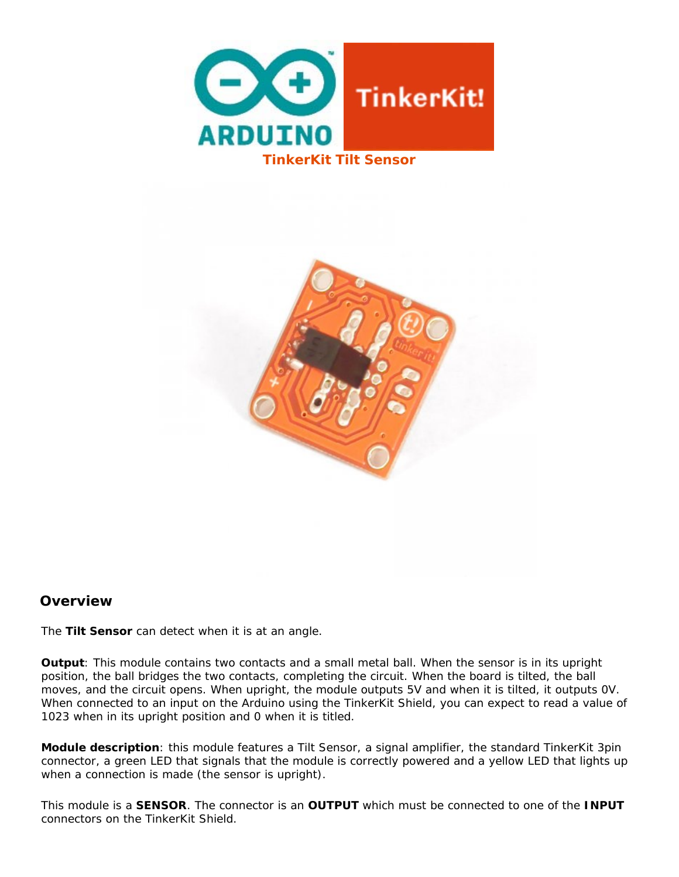



## **Overview**

The **Tilt Sensor** can detect when it is at an angle.

**Output**: This module contains two contacts and a small metal ball. When the sensor is in its upright position, the ball bridges the two contacts, completing the circuit. When the board is tilted, the ball moves, and the circuit opens. When upright, the module outputs 5V and when it is tilted, it outputs 0V. When connected to an input on the Arduino using the TinkerKit Shield, you can expect to read a value of 1023 when in its upright position and 0 when it is titled.

**Module description**: this module features a Tilt Sensor, a signal amplifier, the standard TinkerKit 3pin connector, a green LED that signals that the module is correctly powered and a yellow LED that lights up when a connection is made (the sensor is upright).

This module is a **SENSOR**. The connector is an **OUTPUT** which must be connected to one of the **INPUT** connectors on the TinkerKit Shield.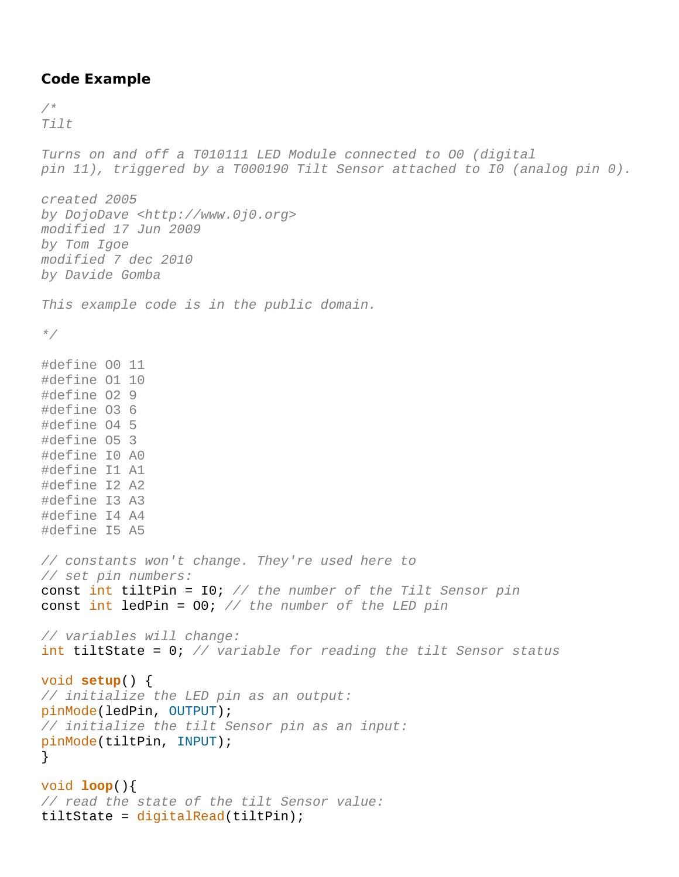## **Code Example**

```
/* 
Tilt 
Turns on and off a T010111 LED Module connected to O0 (digital 
pin 11), triggered by a T000190 Tilt Sensor attached to I0 (analog pin 0). 
created 2005 
by DojoDave <http://www.0j0.org> 
modified 17 Jun 2009 
by Tom Igoe 
modified 7 dec 2010 
by Davide Gomba 
This example code is in the public domain. 
*/
#define O0 11
#define O1 10
#define O2 9
#define O3 6
#define O4 5
#define O5 3
#define I0 A0
#define I1 A1
#define I2 A2
#define I3 A3
#define I4 A4
#define I5 A5
// constants won't change. They're used here to 
// set pin numbers:
const int tiltPin = I0; // the number of the Tilt Sensor pin
const int ledPin = O0; // the number of the LED pin
// variables will change:
int tiltState = 0; // variable for reading the tilt Sensor status
void setup() { 
// initialize the LED pin as an output:
pinMode(ledPin, OUTPUT); 
// initialize the tilt Sensor pin as an input:
pinMode(tiltPin, INPUT); 
} 
void loop(){ 
// read the state of the tilt Sensor value:
tiltState = digitalRead(tiltPin);
```